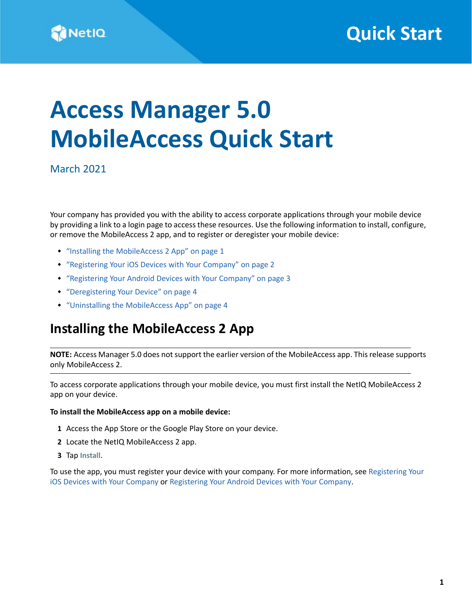

# **Access Manager 5.0 MobileAccess Quick Start**

March 2021

Your company has provided you with the ability to access corporate applications through your mobile device by providing a link to a login page to access these resources. Use the following information to install, configure, or remove the MobileAccess 2 app, and to register or deregister your mobile device:

- ["Installing the MobileAccess 2 App" on page 1](#page-0-0)
- ["Registering Your iOS Devices with Your Company" on page 2](#page-1-0)
- ["Registering Your Android Devices with Your Company" on page 3](#page-2-0)
- ["Deregistering Your Device" on page 4](#page-3-0)
- ["Uninstalling the MobileAccess App" on page 4](#page-3-1)

# <span id="page-0-0"></span>**Installing the MobileAccess 2 App**

**NOTE:** Access Manager 5.0 does not support the earlier version of the MobileAccess app. This release supports only MobileAccess 2.

To access corporate applications through your mobile device, you must first install the NetIQ MobileAccess 2 app on your device.

#### **To install the MobileAccess app on a mobile device:**

- **1** Access the App Store or the Google Play Store on your device.
- **2** Locate the NetIQ MobileAccess 2 app.
- **3** Tap **Install**.

To use the app, you must register your device with your company. For more information, see [Registering Your](#page-1-0)  [iOS Devices with Your Company](#page-1-0) or [Registering Your Android Devices with Your Company.](#page-2-0)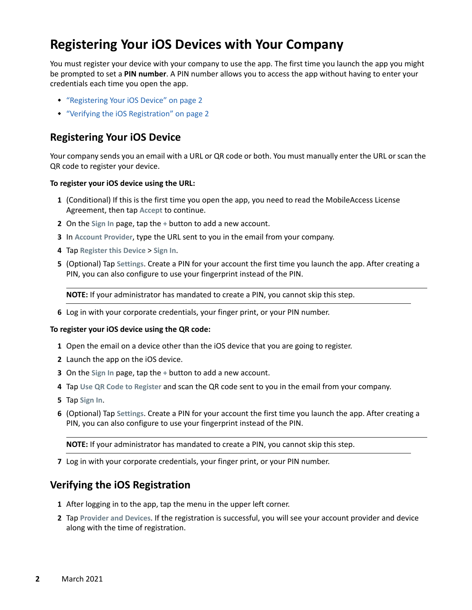# <span id="page-1-0"></span>**Registering Your iOS Devices with Your Company**

You must register your device with your company to use the app. The first time you launch the app you might be prompted to set a **PIN number**. A PIN number allows you to access the app without having to enter your credentials each time you open the app.

- ["Registering Your iOS Device" on page 2](#page-1-1)
- ["Verifying the iOS Registration" on page 2](#page-1-2)

### <span id="page-1-1"></span>**Registering Your iOS Device**

Your company sends you an email with a URL or QR code or both. You must manually enter the URL or scan the QR code to register your device.

#### **To register your iOS device using the URL:**

- **1** (Conditional) If this is the first time you open the app, you need to read the MobileAccess License Agreement, then tap **Accept** to continue.
- **2** On the **Sign In** page, tap the **+** button to add a new account.
- **3** In **Account Provider**, type the URL sent to you in the email from your company.
- **4** Tap **Register this Device** > **Sign In**.
- **5** (Optional) Tap **Settings**. Create a PIN for your account the first time you launch the app. After creating a PIN, you can also configure to use your fingerprint instead of the PIN.

**NOTE:** If your administrator has mandated to create a PIN, you cannot skip this step.

**6** Log in with your corporate credentials, your finger print, or your PIN number.

#### **To register your iOS device using the QR code:**

- **1** Open the email on a device other than the iOS device that you are going to register.
- **2** Launch the app on the iOS device.
- **3** On the **Sign In** page, tap the **+** button to add a new account.
- **4** Tap **Use QR Code to Register** and scan the QR code sent to you in the email from your company.
- **5** Tap **Sign In**.
- **6** (Optional) Tap **Settings**. Create a PIN for your account the first time you launch the app. After creating a PIN, you can also configure to use your fingerprint instead of the PIN.

**NOTE:** If your administrator has mandated to create a PIN, you cannot skip this step.

**7** Log in with your corporate credentials, your finger print, or your PIN number.

### <span id="page-1-2"></span>**Verifying the iOS Registration**

- **1** After logging in to the app, tap the menu in the upper left corner.
- **2** Tap **Provider and Devices**. If the registration is successful, you will see your account provider and device along with the time of registration.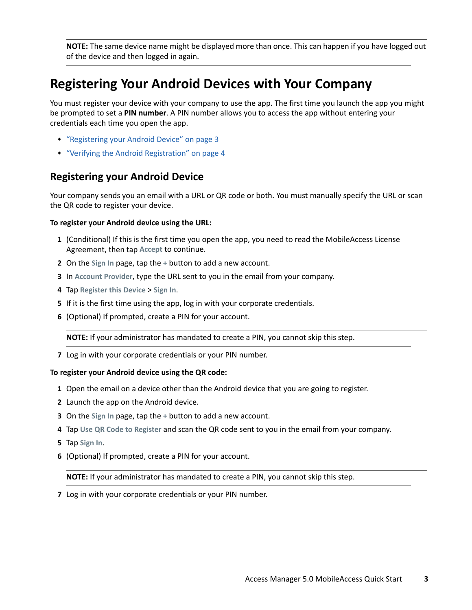**NOTE:** The same device name might be displayed more than once. This can happen if you have logged out of the device and then logged in again.

# <span id="page-2-0"></span>**Registering Your Android Devices with Your Company**

You must register your device with your company to use the app. The first time you launch the app you might be prompted to set a **PIN number**. A PIN number allows you to access the app without entering your credentials each time you open the app.

- ["Registering your Android Device" on page 3](#page-2-1)
- ["Verifying the Android Registration" on page 4](#page-3-2)

### <span id="page-2-1"></span>**Registering your Android Device**

Your company sends you an email with a URL or QR code or both. You must manually specify the URL or scan the QR code to register your device.

#### **To register your Android device using the URL:**

- **1** (Conditional) If this is the first time you open the app, you need to read the MobileAccess License Agreement, then tap **Accept** to continue.
- **2** On the **Sign In** page, tap the **+** button to add a new account.
- **3** In **Account Provider**, type the URL sent to you in the email from your company.
- **4** Tap **Register this Device** > **Sign In**.
- **5** If it is the first time using the app, log in with your corporate credentials.
- **6** (Optional) If prompted, create a PIN for your account.

**NOTE:** If your administrator has mandated to create a PIN, you cannot skip this step.

**7** Log in with your corporate credentials or your PIN number.

#### **To register your Android device using the QR code:**

- **1** Open the email on a device other than the Android device that you are going to register.
- **2** Launch the app on the Android device.
- **3** On the **Sign In** page, tap the **+** button to add a new account.
- **4** Tap **Use QR Code to Register** and scan the QR code sent to you in the email from your company.
- **5** Tap **Sign In**.
- **6** (Optional) If prompted, create a PIN for your account.

**NOTE:** If your administrator has mandated to create a PIN, you cannot skip this step.

**7** Log in with your corporate credentials or your PIN number.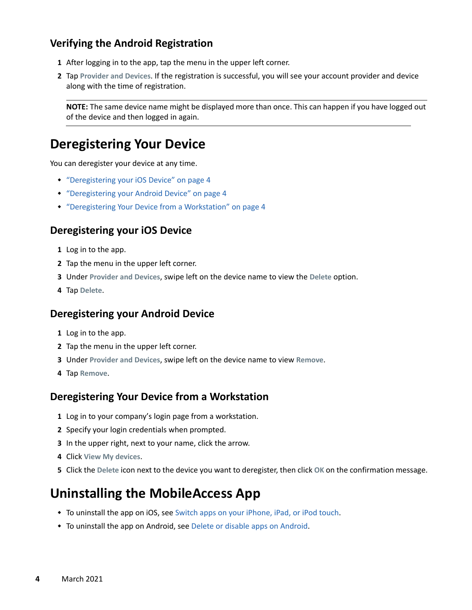## <span id="page-3-2"></span>**Verifying the Android Registration**

- **1** After logging in to the app, tap the menu in the upper left corner.
- **2** Tap **Provider and Devices**. If the registration is successful, you will see your account provider and device along with the time of registration.

**NOTE:** The same device name might be displayed more than once. This can happen if you have logged out of the device and then logged in again.

# <span id="page-3-0"></span>**Deregistering Your Device**

You can deregister your device at any time.

- ["Deregistering your iOS Device" on page 4](#page-3-3)
- ["Deregistering your Android Device" on page 4](#page-3-4)
- ["Deregistering Your Device from a Workstation" on page 4](#page-3-5)

### <span id="page-3-3"></span>**Deregistering your iOS Device**

- **1** Log in to the app.
- **2** Tap the menu in the upper left corner.
- **3** Under **Provider and Devices**, swipe left on the device name to view the **Delete** option.
- **4** Tap **Delete**.

#### <span id="page-3-4"></span>**Deregistering your Android Device**

- **1** Log in to the app.
- **2** Tap the menu in the upper left corner.
- **3** Under **Provider and Devices**, swipe left on the device name to view **Remove**.
- **4** Tap **Remove**.

### <span id="page-3-5"></span>**Deregistering Your Device from a Workstation**

- **1** Log in to your company's login page from a workstation.
- **2** Specify your login credentials when prompted.
- **3** In the upper right, next to your name, click the arrow.
- **4** Click **View My devices**.
- **5** Click the **Delete** icon next to the device you want to deregister, then click **OK** on the confirmation message.

# <span id="page-3-1"></span>**Uninstalling the MobileAccess App**

- To uninstall the app on iOS, see [Switch apps on your iPhone, iPad, or iPod touch.](http://www.apple.com/support/iphone/assistant/application/#section_5)
- To uninstall the app on Android, see [Delete or disable apps on Android](https://support.google.com/googleplay/answer/2521768?hl=en).